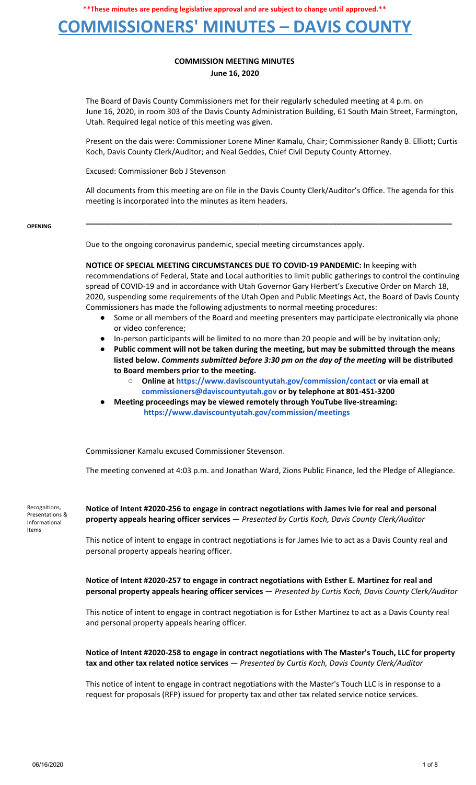### **COMMISSIONERS' MINUTES – DAVIS COUNTY**

#### **COMMISSION MEETING MINUTES June 16, 2020**

The Board of Davis County Commissioners met for their regularly scheduled meeting at 4 p.m. on June 16, 2020, in room 303 of the Davis County Administration Building, 61 South Main Street, Farmington, Utah. Required legal notice of this meeting was given.

Present on the dais were: Commissioner Lorene Miner Kamalu, Chair; Commissioner Randy B. Elliott; Curtis Koch, Davis County Clerk/Auditor; and Neal Geddes, Chief Civil Deputy County Attorney.

Excused: Commissioner Bob J Stevenson

All documents from this meeting are on file in the Davis County Clerk/Auditor's Office. The agenda for this meeting is incorporated into the minutes as item headers.

**\_\_\_\_\_\_\_\_\_\_\_\_\_\_\_\_\_\_\_\_\_\_\_\_\_\_\_\_\_\_\_\_\_\_\_\_\_\_\_\_\_\_\_\_\_\_\_\_\_\_\_\_\_\_\_\_\_\_\_\_\_\_\_\_\_\_\_\_\_\_\_\_\_\_\_\_\_\_\_\_\_\_\_\_\_\_**

#### **OPENING**

Due to the ongoing coronavirus pandemic, special meeting circumstances apply.

**NOTICE OF SPECIAL MEETING CIRCUMSTANCES DUE TO COVID-19 PANDEMIC:** In keeping with recommendations of Federal, State and Local authorities to limit public gatherings to control the continuing spread of COVID-19 and in accordance with Utah Governor Gary Herbert's Executive Order on March 18, 2020, suspending some requirements of the Utah Open and Public Meetings Act, the Board of Davis County Commissioners has made the following adjustments to normal meeting procedures:

- Some or all members of the Board and meeting presenters may participate electronically via phone or video conference;
- In-person participants will be limited to no more than 20 people and will be by invitation only;
- **● Public comment will not be taken during the meeting, but may be submitted through the means listed below.** *Comments submitted before 3:30 pm on the day of the meeting* **will be distributed to Board members prior to the meeting.**
	- **○ Online at <https://www.daviscountyutah.gov/commission/contact> or via [email](https://www.daviscountyutah.gov/commission/contact) at [commissioners@daviscountyutah.gov](https://www.daviscountyutah.gov/commission/contact) or by telephone at 801-451-3200**
- **● Meeting proceedings may be viewed remotely through YouTube live-streaming: <https://www.daviscountyutah.gov/commission/meetings>**

Commissioner Kamalu excused Commissioner Stevenson.

The meeting convened at 4:03 p.m. and Jonathan Ward, Zions Public Finance, led the Pledge of Allegiance.

Recognitions, Presentations & Informational Items

**Notice of Intent #2020-256 to engage in contract negotiations with James Ivie for real and personal property appeals hearing officer services** — *Presented by Curtis Koch, Davis County Clerk/Auditor*

This notice of intent to engage in contract negotiations is for James Ivie to act as a Davis County real and personal property appeals hearing officer.

**Notice of Intent #2020-257 to engage in contract negotiations with Esther E. Martinez for real and personal property appeals hearing officer services** — *Presented by Curtis Koch, Davis County Clerk/Auditor*

This notice of intent to engage in contract negotiation is for Esther Martinez to act as a Davis County real and personal property appeals hearing officer.

**Notice of Intent #2020-258 to engage in contract negotiations with The Master's Touch, LLC for property tax and other tax related notice services** — *Presented by Curtis Koch, Davis County Clerk/Auditor*

This notice of intent to engage in contract negotiations with the Master's Touch LLC is in response to a request for proposals (RFP) issued for property tax and other tax related service notice services.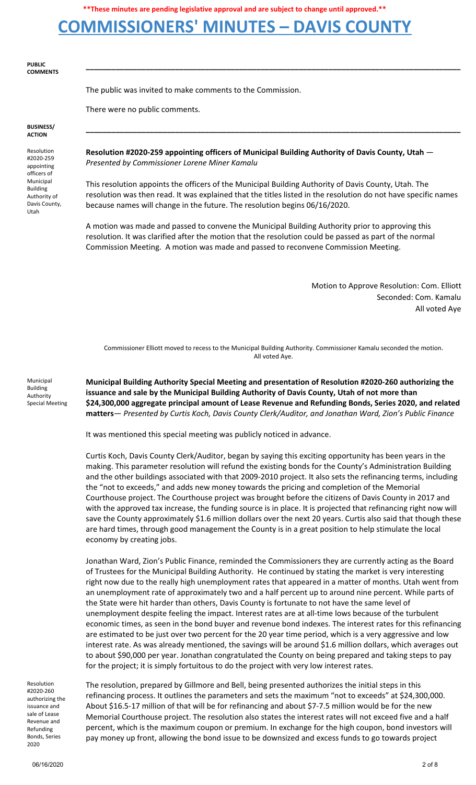#### **COMMISSIONERS' MINUTES – DAVIS COUNTY**

**PUBLIC COMMENTS**

The public was invited to make comments to the Commission.

There were no public comments.

#### **BUSINESS/ ACTION**

Resolution #2020-259 appointing officers of Municipal Building Authority of Davis County, Utah

**Resolution #2020-259 appointing officers of Municipal Building Authority of Davis County, Utah** — *Presented by Commissioner Lorene Miner Kamalu*

This resolution appoints the officers of the Municipal Building Authority of Davis County, Utah. The resolution was then read. It was explained that the titles listed in the resolution do not have specific names because names will change in the future. The resolution begins 06/16/2020.

**\_\_\_\_\_\_\_\_\_\_\_\_\_\_\_\_\_\_\_\_\_\_\_\_\_\_\_\_\_\_\_\_\_\_\_\_\_\_\_\_\_\_\_\_\_\_\_\_\_\_\_\_\_\_\_\_\_\_\_\_\_\_\_\_\_\_\_\_\_\_\_\_\_\_\_\_\_\_\_\_\_\_\_\_\_\_\_\_**

**\_\_\_\_\_\_\_\_\_\_\_\_\_\_\_\_\_\_\_\_\_\_\_\_\_\_\_\_\_\_\_\_\_\_\_\_\_\_\_\_\_\_\_\_\_\_\_\_\_\_\_\_\_\_\_\_\_\_\_\_\_\_\_\_\_\_\_\_\_\_\_\_\_\_\_\_\_\_\_\_\_\_\_\_\_\_\_\_**

A motion was made and passed to convene the Municipal Building Authority prior to approving this resolution. It was clarified after the motion that the resolution could be passed as part of the normal Commission Meeting. A motion was made and passed to reconvene Commission Meeting.

> Motion to Approve Resolution: Com. Elliott Seconded: Com. Kamalu All voted Aye

Commissioner Elliott moved to recess to the Municipal Building Authority. Commissioner Kamalu seconded the motion. All voted Aye.

Municipal Building Authority Special Meeting

**Municipal Building Authority Special Meeting and presentation of Resolution #2020-260 authorizing the issuance and sale by the Municipal Building Authority of Davis County, Utah of not more than \$24,300,000 aggregate principal amount of Lease Revenue and Refunding Bonds, Series 2020, and related matters**— *Presented by Curtis Koch, Davis County Clerk/Auditor, and Jonathan Ward, Zion's Public Finance*

It was mentioned this special meeting was publicly noticed in advance.

Curtis Koch, Davis County Clerk/Auditor, began by saying this exciting opportunity has been years in the making. This parameter resolution will refund the existing bonds for the County's Administration Building and the other buildings associated with that 2009-2010 project. It also sets the refinancing terms, including the "not to exceeds," and adds new money towards the pricing and completion of the Memorial Courthouse project. The Courthouse project was brought before the citizens of Davis County in 2017 and with the approved tax increase, the funding source is in place. It is projected that refinancing right now will save the County approximately \$1.6 million dollars over the next 20 years. Curtis also said that though these are hard times, through good management the County is in a great position to help stimulate the local economy by creating jobs.

Jonathan Ward, Zion's Public Finance, reminded the Commissioners they are currently acting as the Board of Trustees for the Municipal Building Authority. He continued by stating the market is very interesting right now due to the really high unemployment rates that appeared in a matter of months. Utah went from an unemployment rate of approximately two and a half percent up to around nine percent. While parts of the State were hit harder than others, Davis County is fortunate to not have the same level of unemployment despite feeling the impact. Interest rates are at all-time lows because of the turbulent economic times, as seen in the bond buyer and revenue bond indexes. The interest rates for this refinancing are estimated to be just over two percent for the 20 year time period, which is a very aggressive and low interest rate. As was already mentioned, the savings will be around \$1.6 million dollars, which averages out to about \$90,000 per year. Jonathan congratulated the County on being prepared and taking steps to pay for the project; it is simply fortuitous to do the project with very low interest rates.

Resolution #2020-260 authorizing the issuance and sale of Lease Revenue and Refunding Bonds, Series 2020

The resolution, prepared by Gillmore and Bell, being presented authorizes the initial steps in this refinancing process. It outlines the parameters and sets the maximum "not to exceeds" at \$24,300,000. About \$16.5-17 million of that will be for refinancing and about \$7-7.5 million would be for the new Memorial Courthouse project. The resolution also states the interest rates will not exceed five and a half percent, which is the maximum coupon or premium. In exchange for the high coupon, bond investors will pay money up front, allowing the bond issue to be downsized and excess funds to go towards project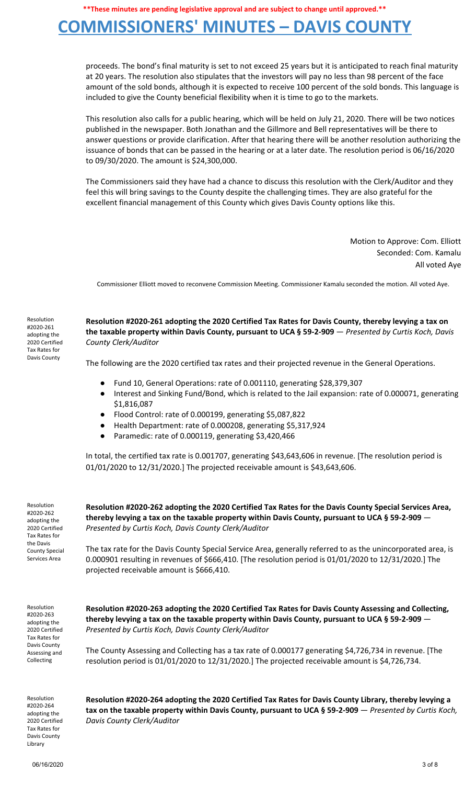#### **COMMISSIONERS' MINUTES – DAVIS COUNTY**

proceeds. The bond's final maturity is set to not exceed 25 years but it is anticipated to reach final maturity at 20 years. The resolution also stipulates that the investors will pay no less than 98 percent of the face amount of the sold bonds, although it is expected to receive 100 percent of the sold bonds. This language is included to give the County beneficial flexibility when it is time to go to the markets.

This resolution also calls for a public hearing, which will be held on July 21, 2020. There will be two notices published in the newspaper. Both Jonathan and the Gillmore and Bell representatives will be there to answer questions or provide clarification. After that hearing there will be another resolution authorizing the issuance of bonds that can be passed in the hearing or at a later date. The resolution period is 06/16/2020 to 09/30/2020. The amount is \$24,300,000.

The Commissioners said they have had a chance to discuss this resolution with the Clerk/Auditor and they feel this will bring savings to the County despite the challenging times. They are also grateful for the excellent financial management of this County which gives Davis County options like this.

> Motion to Approve: Com. Elliott Seconded: Com. Kamalu All voted Aye

Commissioner Elliott moved to reconvene Commission Meeting. Commissioner Kamalu seconded the motion. All voted Aye.

Resolution #2020-261 adopting the 2020 Certified Tax Rates for Davis County

**Resolution #2020-261 adopting the 2020 Certified Tax Rates for Davis County, thereby levying a tax on the taxable property within Davis County, pursuant to UCA § 59-2-909** — *Presented by Curtis Koch, Davis County Clerk/Auditor*

The following are the 2020 certified tax rates and their projected revenue in the General Operations.

- Fund 10, General Operations: rate of 0.001110, generating \$28,379,307
- Interest and Sinking Fund/Bond, which is related to the Jail expansion: rate of 0.000071, generating \$1,816,087
- Flood Control: rate of 0.000199, generating \$5,087,822
- Health Department: rate of 0.000208, generating \$5,317,924
- Paramedic: rate of 0.000119, generating \$3,420,466

In total, the certified tax rate is 0.001707, generating \$43,643,606 in revenue. [The resolution period is 01/01/2020 to 12/31/2020.] The projected receivable amount is \$43,643,606.

Resolution #2020-262 adopting the 2020 Certified Tax Rates for the Davis County Special Services Area

**Resolution #2020-262 adopting the 2020 Certified Tax Rates for the Davis County Special Services Area, thereby levying a tax on the taxable property within Davis County, pursuant to UCA § 59-2-909** — *Presented by Curtis Koch, Davis County Clerk/Auditor*

The tax rate for the Davis County Special Service Area, generally referred to as the unincorporated area, is 0.000901 resulting in revenues of \$666,410. [The resolution period is 01/01/2020 to 12/31/2020.] The projected receivable amount is \$666,410.

Resolution #2020-263 adopting the 2020 Certified Tax Rates for Davis County Assessing and Collecting

**Resolution #2020-263 adopting the 2020 Certified Tax Rates for Davis County Assessing and Collecting, thereby levying a tax on the taxable property within Davis County, pursuant to UCA § 59-2-909** — *Presented by Curtis Koch, Davis County Clerk/Auditor*

The County Assessing and Collecting has a tax rate of 0.000177 generating \$4,726,734 in revenue. [The resolution period is 01/01/2020 to 12/31/2020.] The projected receivable amount is \$4,726,734.

Resolution #2020-264 adopting the 2020 Certified Tax Rates for Davis County Library

**Resolution #2020-264 adopting the 2020 Certified Tax Rates for Davis County Library, thereby levying a tax on the taxable property within Davis County, pursuant to UCA § 59-2-909** — *Presented by Curtis Koch, Davis County Clerk/Auditor*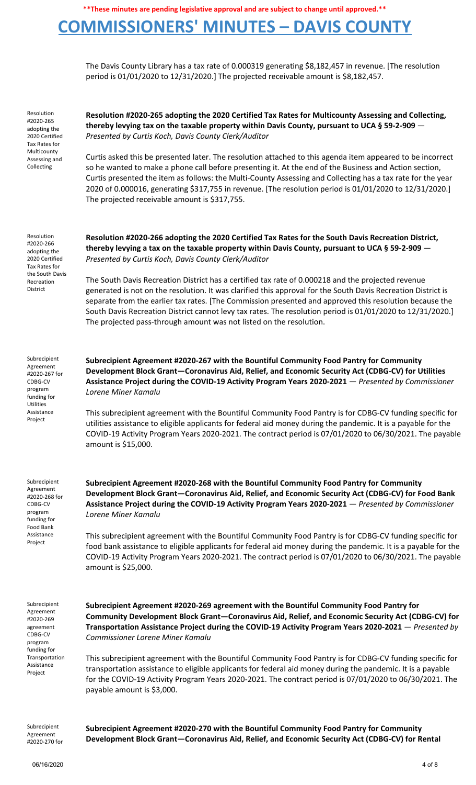### **COMMISSIONERS' MINUTES – DAVIS COUNTY**

The Davis County Library has a tax rate of 0.000319 generating \$8,182,457 in revenue. [The resolution period is 01/01/2020 to 12/31/2020.] The projected receivable amount is \$8,182,457.

Resolution #2020-265 adopting the 2020 Certified Tax Rates for Multicounty Assessing and Collecting

**Resolution #2020-265 adopting the 2020 Certified Tax Rates for Multicounty Assessing and Collecting, thereby levying tax on the taxable property within Davis County, pursuant to UCA § 59-2-909** — *Presented by Curtis Koch, Davis County Clerk/Auditor*

Curtis asked this be presented later. The resolution attached to this agenda item appeared to be incorrect so he wanted to make a phone call before presenting it. At the end of the Business and Action section, Curtis presented the item as follows: the Multi-County Assessing and Collecting has a tax rate for the year 2020 of 0.000016, generating \$317,755 in revenue. [The resolution period is 01/01/2020 to 12/31/2020.] The projected receivable amount is \$317,755.

Resolution #2020-266 adopting the 2020 Certified Tax Rates for the South Davis Recreation District

Subrecipient Agreement #2020-267 for CDBG-CV program funding for Utilities Assistance Project

**Resolution #2020-266 adopting the 2020 Certified Tax Rates for the South Davis Recreation District, thereby levying a tax on the taxable property within Davis County, pursuant to UCA § 59-2-909** — *Presented by Curtis Koch, Davis County Clerk/Auditor*

The South Davis Recreation District has a certified tax rate of 0.000218 and the projected revenue generated is not on the resolution. It was clarified this approval for the South Davis Recreation District is separate from the earlier tax rates. [The Commission presented and approved this resolution because the South Davis Recreation District cannot levy tax rates. The resolution period is 01/01/2020 to 12/31/2020.] The projected pass-through amount was not listed on the resolution.

**Subrecipient Agreement #2020-267 with the Bountiful Community Food Pantry for Community Development Block Grant—Coronavirus Aid, Relief, and Economic Security Act (CDBG-CV) for Utilities Assistance Project during the COVID-19 Activity Program Years 2020-2021** — *Presented by Commissioner Lorene Miner Kamalu*

This subrecipient agreement with the Bountiful Community Food Pantry is for CDBG-CV funding specific for utilities assistance to eligible applicants for federal aid money during the pandemic. It is a payable for the COVID-19 Activity Program Years 2020-2021. The contract period is 07/01/2020 to 06/30/2021. The payable amount is \$15,000.

Subrecipient Agreement #2020-268 for CDBG-CV program funding for Food Bank Assistance Project

**Subrecipient Agreement #2020-268 with the Bountiful Community Food Pantry for Community Development Block Grant—Coronavirus Aid, Relief, and Economic Security Act (CDBG-CV) for Food Bank Assistance Project during the COVID-19 Activity Program Years 2020-2021** — *Presented by Commissioner Lorene Miner Kamalu*

This subrecipient agreement with the Bountiful Community Food Pantry is for CDBG-CV funding specific for food bank assistance to eligible applicants for federal aid money during the pandemic. It is a payable for the COVID-19 Activity Program Years 2020-2021. The contract period is 07/01/2020 to 06/30/2021. The payable amount is \$25,000.

Subrecipient Agreement #2020-269 agreement CDBG-CV program funding for Transportation Assistance Project

**Subrecipient Agreement #2020-269 agreement with the Bountiful Community Food Pantry for Community Development Block Grant—Coronavirus Aid, Relief, and Economic Security Act (CDBG-CV) for Transportation Assistance Project during the COVID-19 Activity Program Years 2020-2021** — *Presented by Commissioner Lorene Miner Kamalu*

This subrecipient agreement with the Bountiful Community Food Pantry is for CDBG-CV funding specific for transportation assistance to eligible applicants for federal aid money during the pandemic. It is a payable for the COVID-19 Activity Program Years 2020-2021. The contract period is 07/01/2020 to 06/30/2021. The payable amount is \$3,000.

Subrecipient Agreement #2020-270 for **Subrecipient Agreement #2020-270 with the Bountiful Community Food Pantry for Community Development Block Grant—Coronavirus Aid, Relief, and Economic Security Act (CDBG-CV) for Rental**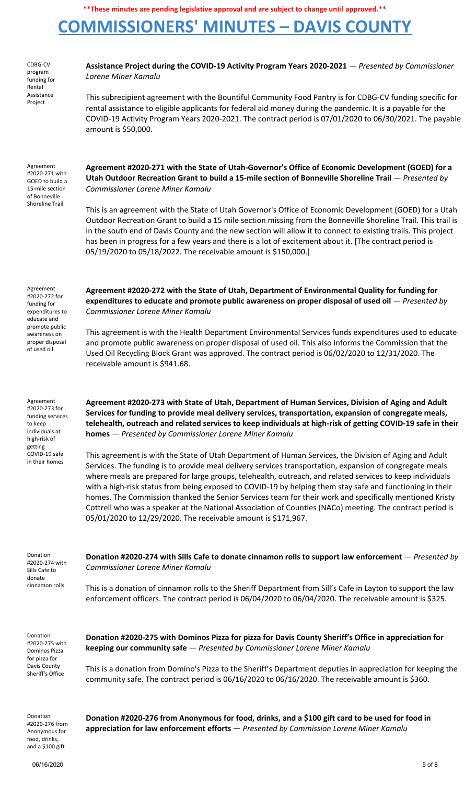# **COMMISSIONERS' MINUTES – DAVIS COUNTY**

| CDBG-CV<br>program<br>funding for<br>Rental                                                                                                     | Assistance Project during the COVID-19 Activity Program Years 2020-2021 - Presented by Commissioner<br>Lorene Miner Kamalu                                                                                                                                                                                                                                                                                                                                                                                                                                                                                                                                                                                                            |
|-------------------------------------------------------------------------------------------------------------------------------------------------|---------------------------------------------------------------------------------------------------------------------------------------------------------------------------------------------------------------------------------------------------------------------------------------------------------------------------------------------------------------------------------------------------------------------------------------------------------------------------------------------------------------------------------------------------------------------------------------------------------------------------------------------------------------------------------------------------------------------------------------|
| Assistance<br>Project                                                                                                                           | This subrecipient agreement with the Bountiful Community Food Pantry is for CDBG-CV funding specific for<br>rental assistance to eligible applicants for federal aid money during the pandemic. It is a payable for the<br>COVID-19 Activity Program Years 2020-2021. The contract period is 07/01/2020 to 06/30/2021. The payable<br>amount is \$50,000.                                                                                                                                                                                                                                                                                                                                                                             |
| Agreement<br>#2020-271 with<br>GOED to build a<br>15-mile section<br>of Bonneville<br>Shoreline Trail                                           | Agreement #2020-271 with the State of Utah-Governor's Office of Economic Development (GOED) for a<br>Utah Outdoor Recreation Grant to build a 15-mile section of Bonneville Shoreline Trail - Presented by<br><b>Commissioner Lorene Miner Kamalu</b>                                                                                                                                                                                                                                                                                                                                                                                                                                                                                 |
|                                                                                                                                                 | This is an agreement with the State of Utah Governor's Office of Economic Development (GOED) for a Utah<br>Outdoor Recreation Grant to build a 15 mile section missing from the Bonneville Shoreline Trail. This trail is<br>in the south end of Davis County and the new section will allow it to connect to existing trails. This project<br>has been in progress for a few years and there is a lot of excitement about it. [The contract period is<br>05/19/2020 to 05/18/2022. The receivable amount is \$150,000.]                                                                                                                                                                                                              |
| Agreement<br>#2020-272 for<br>funding for<br>expenditures to<br>educate and<br>promote public<br>awareness on<br>proper disposal<br>of used oil | Agreement #2020-272 with the State of Utah, Department of Environmental Quality for funding for<br>expenditures to educate and promote public awareness on proper disposal of used oil $-$ Presented by<br><b>Commissioner Lorene Miner Kamalu</b>                                                                                                                                                                                                                                                                                                                                                                                                                                                                                    |
|                                                                                                                                                 | This agreement is with the Health Department Environmental Services funds expenditures used to educate<br>and promote public awareness on proper disposal of used oil. This also informs the Commission that the<br>Used Oil Recycling Block Grant was approved. The contract period is 06/02/2020 to 12/31/2020. The<br>receivable amount is \$941.68.                                                                                                                                                                                                                                                                                                                                                                               |
| Agreement<br>#2020-273 for<br>funding services<br>to keep<br>individuals at<br>high-risk of<br>getting<br>COVID-19 safe<br>in their homes       | Agreement #2020-273 with State of Utah, Department of Human Services, Division of Aging and Adult<br>Services for funding to provide meal delivery services, transportation, expansion of congregate meals,<br>telehealth, outreach and related services to keep individuals at high-risk of getting COVID-19 safe in their<br>homes - Presented by Commissioner Lorene Miner Kamalu                                                                                                                                                                                                                                                                                                                                                  |
|                                                                                                                                                 | This agreement is with the State of Utah Department of Human Services, the Division of Aging and Adult<br>Services. The funding is to provide meal delivery services transportation, expansion of congregate meals<br>where meals are prepared for large groups, telehealth, outreach, and related services to keep individuals<br>with a high-risk status from being exposed to COVID-19 by helping them stay safe and functioning in their<br>homes. The Commission thanked the Senior Services team for their work and specifically mentioned Kristy<br>Cottrell who was a speaker at the National Association of Counties (NACo) meeting. The contract period is<br>05/01/2020 to 12/29/2020. The receivable amount is \$171,967. |
| Donation<br>#2020-274 with<br>Sills Cafe to<br>donate<br>cinnamon rolls                                                                         | Donation #2020-274 with Sills Cafe to donate cinnamon rolls to support law enforcement - Presented by<br><b>Commissioner Lorene Miner Kamalu</b>                                                                                                                                                                                                                                                                                                                                                                                                                                                                                                                                                                                      |
|                                                                                                                                                 | This is a donation of cinnamon rolls to the Sheriff Department from Sill's Cafe in Layton to support the law<br>enforcement officers. The contract period is 06/04/2020 to 06/04/2020. The receivable amount is \$325.                                                                                                                                                                                                                                                                                                                                                                                                                                                                                                                |
| Donation<br>#2020-275 with<br>Dominos Pizza<br>for pizza for<br>Davis County<br>Sheriff's Office                                                | Donation #2020-275 with Dominos Pizza for pizza for Davis County Sheriff's Office in appreciation for<br>keeping our community safe - Presented by Commissioner Lorene Miner Kamalu                                                                                                                                                                                                                                                                                                                                                                                                                                                                                                                                                   |
|                                                                                                                                                 | This is a donation from Domino's Pizza to the Sheriff's Department deputies in appreciation for keeping the<br>community safe. The contract period is 06/16/2020 to 06/16/2020. The receivable amount is \$360.                                                                                                                                                                                                                                                                                                                                                                                                                                                                                                                       |
| Donation<br>#2020-276 from<br>Anonymous for<br>food, drinks,                                                                                    | Donation #2020-276 from Anonymous for food, drinks, and a \$100 gift card to be used for food in<br>appreciation for law enforcement efforts - Presented by Commission Lorene Miner Kamalu                                                                                                                                                                                                                                                                                                                                                                                                                                                                                                                                            |

and a \$100 gift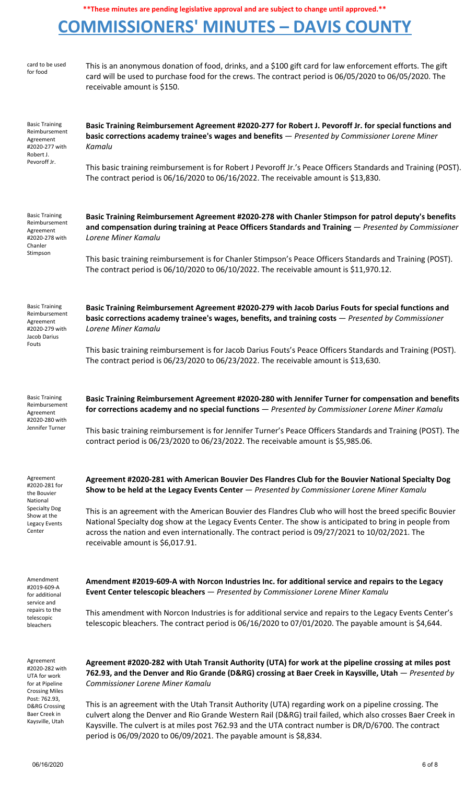## **COMMISSIONERS' MINUTES – DAVIS COUNTY**

| card to be used<br>for food                                                                                                                                                                                         | This is an anonymous donation of food, drinks, and a \$100 gift card for law enforcement efforts. The gift<br>card will be used to purchase food for the crews. The contract period is 06/05/2020 to 06/05/2020. The<br>receivable amount is \$150.                                                                                                                                                |
|---------------------------------------------------------------------------------------------------------------------------------------------------------------------------------------------------------------------|----------------------------------------------------------------------------------------------------------------------------------------------------------------------------------------------------------------------------------------------------------------------------------------------------------------------------------------------------------------------------------------------------|
| <b>Basic Training</b><br>Reimbursement<br>Agreement<br>#2020-277 with<br>Robert J.<br>Pevoroff Jr.                                                                                                                  | Basic Training Reimbursement Agreement #2020-277 for Robert J. Pevoroff Jr. for special functions and<br>basic corrections academy trainee's wages and benefits - Presented by Commissioner Lorene Miner<br>Kamalu                                                                                                                                                                                 |
|                                                                                                                                                                                                                     | This basic training reimbursement is for Robert J Pevoroff Jr.'s Peace Officers Standards and Training (POST).<br>The contract period is $06/16/2020$ to $06/16/2022$ . The receivable amount is \$13,830.                                                                                                                                                                                         |
| <b>Basic Training</b><br>Reimbursement<br>Agreement<br>#2020-278 with<br>Chanler<br>Stimpson                                                                                                                        | Basic Training Reimbursement Agreement #2020-278 with Chanler Stimpson for patrol deputy's benefits<br>and compensation during training at Peace Officers Standards and Training — Presented by Commissioner<br>Lorene Miner Kamalu                                                                                                                                                                |
|                                                                                                                                                                                                                     | This basic training reimbursement is for Chanler Stimpson's Peace Officers Standards and Training (POST).<br>The contract period is $06/10/2020$ to $06/10/2022$ . The receivable amount is \$11,970.12.                                                                                                                                                                                           |
| <b>Basic Training</b><br>Reimbursement<br>Agreement<br>#2020-279 with<br>Jacob Darius<br>Fouts                                                                                                                      | Basic Training Reimbursement Agreement #2020-279 with Jacob Darius Fouts for special functions and<br>basic corrections academy trainee's wages, benefits, and training costs - Presented by Commissioner<br>Lorene Miner Kamalu                                                                                                                                                                   |
|                                                                                                                                                                                                                     | This basic training reimbursement is for Jacob Darius Fouts's Peace Officers Standards and Training (POST).<br>The contract period is $06/23/2020$ to $06/23/2022$ . The receivable amount is \$13,630.                                                                                                                                                                                            |
| <b>Basic Training</b><br>Reimbursement<br>Agreement<br>#2020-280 with<br>Jennifer Turner<br>Agreement<br>#2020-281 for<br>the Bouvier<br>National<br><b>Specialty Dog</b><br>Show at the<br>Legacy Events<br>Center | Basic Training Reimbursement Agreement #2020-280 with Jennifer Turner for compensation and benefits<br>for corrections academy and no special functions - Presented by Commissioner Lorene Miner Kamalu<br>This basic training reimbursement is for Jennifer Turner's Peace Officers Standards and Training (POST). The                                                                            |
|                                                                                                                                                                                                                     | contract period is 06/23/2020 to 06/23/2022. The receivable amount is \$5,985.06.                                                                                                                                                                                                                                                                                                                  |
|                                                                                                                                                                                                                     | Agreement #2020-281 with American Bouvier Des Flandres Club for the Bouvier National Specialty Dog<br>Show to be held at the Legacy Events Center - Presented by Commissioner Lorene Miner Kamalu                                                                                                                                                                                                  |
|                                                                                                                                                                                                                     | This is an agreement with the American Bouvier des Flandres Club who will host the breed specific Bouvier<br>National Specialty dog show at the Legacy Events Center. The show is anticipated to bring in people from<br>across the nation and even internationally. The contract period is 09/27/2021 to 10/02/2021. The<br>receivable amount is \$6,017.91.                                      |
| Amendment<br>#2019-609-A<br>for additional<br>service and                                                                                                                                                           | Amendment #2019-609-A with Norcon Industries Inc. for additional service and repairs to the Legacy<br>Event Center telescopic bleachers - Presented by Commissioner Lorene Miner Kamalu                                                                                                                                                                                                            |
| repairs to the<br>telescopic<br>bleachers                                                                                                                                                                           | This amendment with Norcon Industries is for additional service and repairs to the Legacy Events Center's<br>telescopic bleachers. The contract period is 06/16/2020 to 07/01/2020. The payable amount is \$4,644.                                                                                                                                                                                 |
| Agreement<br>#2020-282 with<br>UTA for work<br>for at Pipeline<br><b>Crossing Miles</b><br>Post: 762.93,<br><b>D&amp;RG Crossing</b><br>Baer Creek in<br>Kaysville, Utah                                            | Agreement #2020-282 with Utah Transit Authority (UTA) for work at the pipeline crossing at miles post<br>762.93, and the Denver and Rio Grande (D&RG) crossing at Baer Creek in Kaysville, Utah - Presented by<br>Commissioner Lorene Miner Kamalu                                                                                                                                                 |
|                                                                                                                                                                                                                     | This is an agreement with the Utah Transit Authority (UTA) regarding work on a pipeline crossing. The<br>culvert along the Denver and Rio Grande Western Rail (D&RG) trail failed, which also crosses Baer Creek in<br>Kaysville. The culvert is at miles post 762.93 and the UTA contract number is DR/D/6700. The contract<br>period is 06/09/2020 to 06/09/2021. The payable amount is \$8,834. |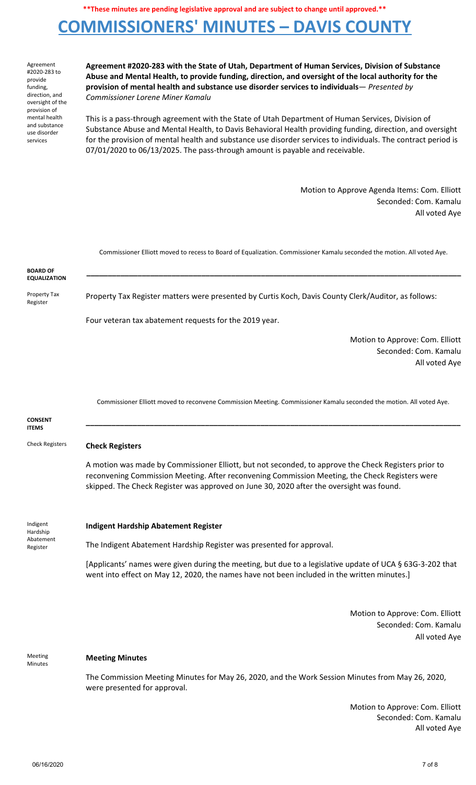## **COMMISSIONERS' MINUTES – DAVIS COUNTY**

Agreement #2020-283 to provide funding, direction, and oversight of the provision of mental health and substance use disorder services

**Agreement #2020-283 with the State of Utah, Department of Human Services, Division of Substance Abuse and Mental Health, to provide funding, direction, and oversight of the local authority for the provision of mental health and substance use disorder services to individuals**— *Presented by Commissioner Lorene Miner Kamalu*

This is a pass-through agreement with the State of Utah Department of Human Services, Division of Substance Abuse and Mental Health, to Davis Behavioral Health providing funding, direction, and oversight for the provision of mental health and substance use disorder services to individuals. The contract period is 07/01/2020 to 06/13/2025. The pass-through amount is payable and receivable.

> Motion to Approve Agenda Items: Com. Elliott Seconded: Com. Kamalu All voted Aye

Commissioner Elliott moved to recess to Board of Equalization. Commissioner Kamalu seconded the motion. All voted Aye.

| <b>BOARD OF</b><br><b>EQUALIZATION</b>        |                                                                                                                                                                                                                                                                                                    |
|-----------------------------------------------|----------------------------------------------------------------------------------------------------------------------------------------------------------------------------------------------------------------------------------------------------------------------------------------------------|
| Property Tax<br>Register                      | Property Tax Register matters were presented by Curtis Koch, Davis County Clerk/Auditor, as follows:                                                                                                                                                                                               |
|                                               | Four veteran tax abatement requests for the 2019 year.                                                                                                                                                                                                                                             |
|                                               | Motion to Approve: Com. Elliott<br>Seconded: Com. Kamalu<br>All voted Aye                                                                                                                                                                                                                          |
| <b>CONSENT</b>                                | Commissioner Elliott moved to reconvene Commission Meeting. Commissioner Kamalu seconded the motion. All voted Aye.                                                                                                                                                                                |
| <b>ITEMS</b>                                  |                                                                                                                                                                                                                                                                                                    |
| <b>Check Registers</b>                        | <b>Check Registers</b>                                                                                                                                                                                                                                                                             |
|                                               | A motion was made by Commissioner Elliott, but not seconded, to approve the Check Registers prior to<br>reconvening Commission Meeting. After reconvening Commission Meeting, the Check Registers were<br>skipped. The Check Register was approved on June 30, 2020 after the oversight was found. |
| Indigent<br>Hardship<br>Abatement<br>Register | <b>Indigent Hardship Abatement Register</b>                                                                                                                                                                                                                                                        |
|                                               | The Indigent Abatement Hardship Register was presented for approval.                                                                                                                                                                                                                               |
|                                               | [Applicants' names were given during the meeting, but due to a legislative update of UCA § 63G-3-202 that<br>went into effect on May 12, 2020, the names have not been included in the written minutes.]                                                                                           |
|                                               | Motion to Approve: Com. Elliott<br>Seconded: Com. Kamalu<br>All voted Aye                                                                                                                                                                                                                          |
| Meeting                                       | <b>Meeting Minutes</b>                                                                                                                                                                                                                                                                             |

The Commission Meeting Minutes for May 26, 2020, and the Work Session Minutes from May 26, 2020, were presented for approval.

> Motion to Approve: Com. Elliott Seconded: Com. Kamalu All voted Aye

Minutes